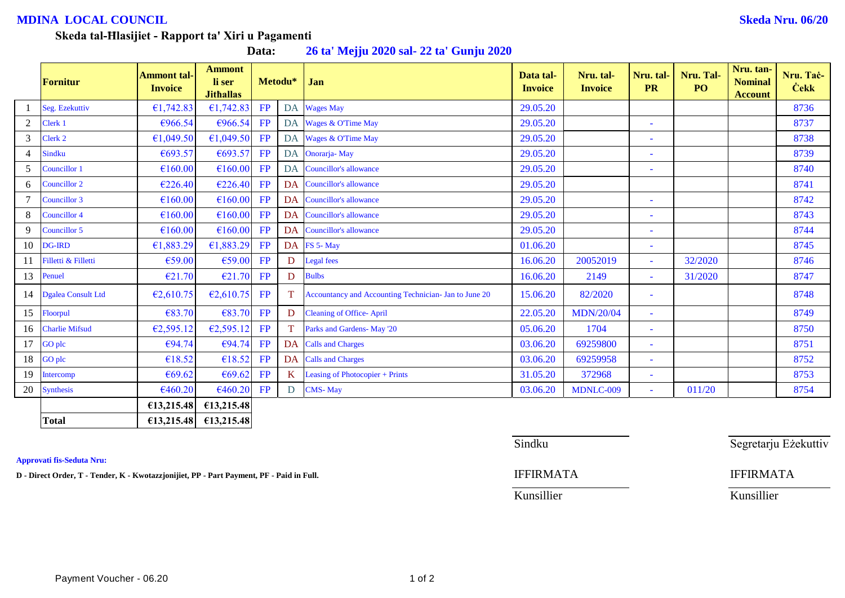## **MDINA LOCAL COUNCIL Skeda Nru. 06/20**

## **Skeda tal-Ħlasijiet - Rapport ta' Xiri u Pagamenti**

**Data: 26 ta' Mejju 2020 sal- 22 ta' Gunju 2020**

|                | <b>Fornitur</b>       | <b>Ammont tal-</b><br><b>Invoice</b> | <b>Ammont</b><br>li ser<br><b>Jithallas</b> |           | Metodu*   | Jan                                                   | Data tal-<br><b>Invoice</b> | Nru. tal-<br><b>Invoice</b> | Nru. tal-<br><b>PR</b>   | Nru. Tal-<br>PO <sub>1</sub> | Nru. tan-<br><b>Nominal</b><br><b>Account</b> | Nru. Tač-<br><b>Cekk</b> |
|----------------|-----------------------|--------------------------------------|---------------------------------------------|-----------|-----------|-------------------------------------------------------|-----------------------------|-----------------------------|--------------------------|------------------------------|-----------------------------------------------|--------------------------|
|                | Seg. Ezekuttiv        | €1,742.83                            | €1,742.83                                   | FP        |           | DA Wages May                                          | 29.05.20                    |                             |                          |                              |                                               | 8736                     |
| $\overline{2}$ | Clerk 1               | €966.54                              | €966.54                                     | FP        |           | DA Wages & O'Time May                                 | 29.05.20                    |                             | ٠                        |                              |                                               | 8737                     |
| $\mathfrak{Z}$ | Clerk 2               | €1,049.50                            | £1,049.50                                   | FP        |           | DA Wages & O'Time May                                 | 29.05.20                    |                             | $\sim$                   |                              |                                               | 8738                     |
| 4              | <b>Sindku</b>         | €693.57                              | €693.57                                     | FP        |           | DA Onorarja-May                                       | 29.05.20                    |                             | $\overline{\phantom{a}}$ |                              |                                               | 8739                     |
| 5              | Councillor 1          | €160.00                              | €160.00                                     | FP        |           | DA Councillor's allowance                             | 29.05.20                    |                             | $\overline{\phantom{a}}$ |                              |                                               | 8740                     |
| 6              | Councillor 2          | €226.40                              | €226.40                                     | FP        |           | DA Councillor's allowance                             | 29.05.20                    |                             |                          |                              |                                               | 8741                     |
|                | Councillor 3          | €160.00                              | €160.00                                     | FP        |           | DA Councillor's allowance                             | 29.05.20                    |                             | ٠                        |                              |                                               | 8742                     |
| 8              | Councillor 4          | €160.00                              | €160.00                                     | FP        |           | DA Councillor's allowance                             | 29.05.20                    |                             | ٠                        |                              |                                               | 8743                     |
| 9              | Councillor 5          | €160.00                              | €160.00                                     | FP        | <b>DA</b> | <b>Councillor's allowance</b>                         | 29.05.20                    |                             | $\sim$                   |                              |                                               | 8744                     |
| 10             | <b>DG-IRD</b>         | €1,883.29                            | £1,883.29                                   | FP        |           | DA FS 5-May                                           | 01.06.20                    |                             | ٠                        |                              |                                               | 8745                     |
| 11             | Filletti & Filletti   | €59.00                               | €59.00                                      | FP        | D         | <b>Legal</b> fees                                     | 16.06.20                    | 20052019                    | $\sim$                   | 32/2020                      |                                               | 8746                     |
| 13             | Penuel                | €21.70                               | E21.70                                      | FP        | D         | <b>Bulbs</b>                                          | 16.06.20                    | 2149                        | $\overline{\phantom{a}}$ | 31/2020                      |                                               | 8747                     |
|                | 14 Dgalea Consult Ltd | €2,610.75                            | E2,610.75                                   | FP        | T.        | Accountancy and Accounting Technician- Jan to June 20 | 15.06.20                    | 82/2020                     | ٠                        |                              |                                               | 8748                     |
| 15             | Floorpul              | €83.70                               | €83.70                                      | FP        | D         | <b>Cleaning of Office-April</b>                       | 22.05.20                    | <b>MDN/20/04</b>            | $\sim$                   |                              |                                               | 8749                     |
| 16             | <b>Charlie Mifsud</b> | €2,595.12                            | E2,595.12                                   | <b>FP</b> | T.        | Parks and Gardens- May '20                            | 05.06.20                    | 1704                        | $\sim$                   |                              |                                               | 8750                     |
| 17             | <b>GO</b> plc         | €94.74                               | €94.74                                      | FP        |           | <b>DA</b> Calls and Charges                           | 03.06.20                    | 69259800                    | ٠                        |                              |                                               | 8751                     |
| 18             | <b>GO</b> plc         | €18.52                               | €18.52                                      | FP        |           | DA Calls and Charges                                  | 03.06.20                    | 69259958                    | $\overline{\phantom{a}}$ |                              |                                               | 8752                     |
| 19             | Intercomp             | €69.62                               | €69.62                                      | FP        | K.        | Leasing of Photocopier + Prints                       | 31.05.20                    | 372968                      | $\overline{\phantom{a}}$ |                              |                                               | 8753                     |
| 20             | <b>Synthesis</b>      | €460.20                              | €460.20                                     | FP        | D         | <b>CMS-May</b>                                        | 03.06.20                    | MDNLC-009                   | $\sim$                   | 011/20                       |                                               | 8754                     |
|                |                       | €13,215.48                           | £13,215.48                                  |           |           |                                                       |                             |                             |                          |                              |                                               |                          |
|                | <b>Total</b>          | £13,215.48                           | £13,215.48                                  |           |           |                                                       |                             |                             |                          |                              |                                               |                          |

**Approvati fis-Seduta Nru:**

**D - Direct Order, T - Tender, K - Kwotazzjonijiet, PP - Part Payment, PF - Paid in Full.** IFFIRMATA IFFIRMATA

Sindku Sindku Segretarju Eżekuttiv

Kunsillier Kunsillier